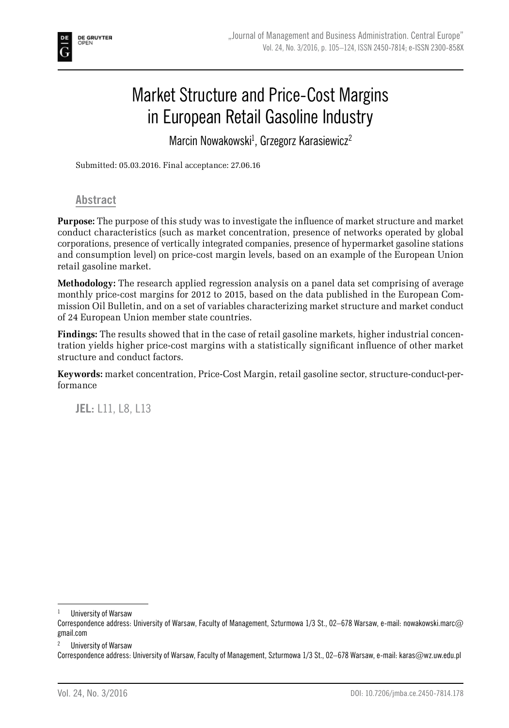# Market Structure and Price-Cost Margins in European Retail Gasoline Industry

Marcin Nowakowski $^1$ , Grzegorz Karasiewicz $^2$ 

Submitted: 05.03.2016. Final acceptance: 27.06.16

#### **Abstract**

**Purpose:** The purpose of this study was to investigate the influence of market structure and market conduct characteristics (such as market concentration, presence of networks operated by global corporations, presence of vertically integrated companies, presence of hypermarket gasoline stations and consumption level) on price-cost margin levels, based on an example of the European Union retail gasoline market.

**Methodology:** The research applied regression analysis on a panel data set comprising of average monthly price-cost margins for 2012 to 2015, based on the data published in the European Commission Oil Bulletin, and on a set of variables characterizing market structure and market conduct of 24 European Union member state countries.

**Findings:** The results showed that in the case of retail gasoline markets, higher industrial concentration yields higher price-cost margins with a statistically significant influence of other market structure and conduct factors.

**Keywords:** market concentration, Price-Cost Margin, retail gasoline sector, structure-conduct-performance

**JEL:** L11, L8, L13

University of Warsaw

Correspondence address: University of Warsaw, Faculty of Management, Szturmowa 1/3 St., 02–678 Warsaw, e-mail: karas@wz.uw.edu.pl

<sup>1</sup> University of Warsaw

Correspondence address: University of Warsaw, Faculty of Management, Szturmowa 1/3 St., 02–678 Warsaw, e-mail: nowakowski.marc@ gmail.com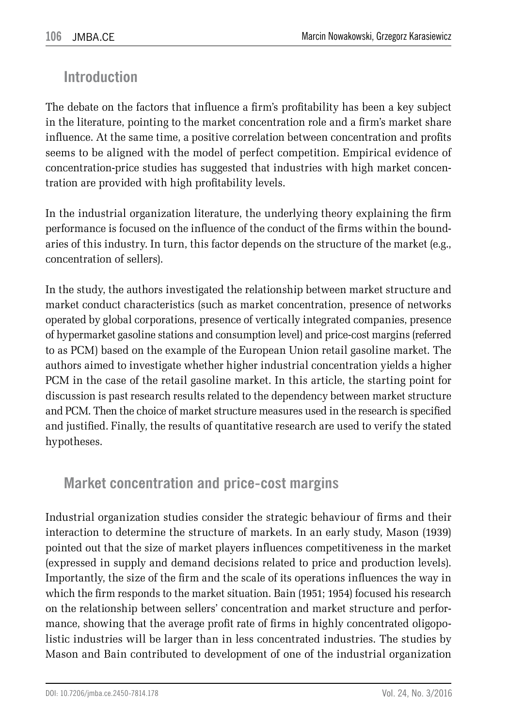# **Introduction**

The debate on the factors that influence a firm's profitability has been a key subject in the literature, pointing to the market concentration role and a firm's market share influence. At the same time, a positive correlation between concentration and profits seems to be aligned with the model of perfect competition. Empirical evidence of concentration-price studies has suggested that industries with high market concentration are provided with high profitability levels.

In the industrial organization literature, the underlying theory explaining the firm performance is focused on the influence of the conduct of the firms within the boundaries of this industry. In turn, this factor depends on the structure of the market (e.g., concentration of sellers).

In the study, the authors investigated the relationship between market structure and market conduct characteristics (such as market concentration, presence of networks operated by global corporations, presence of vertically integrated companies, presence of hypermarket gasoline stations and consumption level) and price-cost margins (referred to as PCM) based on the example of the European Union retail gasoline market. The authors aimed to investigate whether higher industrial concentration yields a higher PCM in the case of the retail gasoline market. In this article, the starting point for discussion is past research results related to the dependency between market structure and PCM. Then the choice of market structure measures used in the research is specified and justified. Finally, the results of quantitative research are used to verify the stated hypotheses.

# **Market concentration and price-cost margins**

Industrial organization studies consider the strategic behaviour of firms and their interaction to determine the structure of markets. In an early study, Mason (1939) pointed out that the size of market players influences competitiveness in the market (expressed in supply and demand decisions related to price and production levels). Importantly, the size of the firm and the scale of its operations influences the way in which the firm responds to the market situation. Bain (1951; 1954) focused his research on the relationship between sellers' concentration and market structure and performance, showing that the average profit rate of firms in highly concentrated oligopolistic industries will be larger than in less concentrated industries. The studies by Mason and Bain contributed to development of one of the industrial organization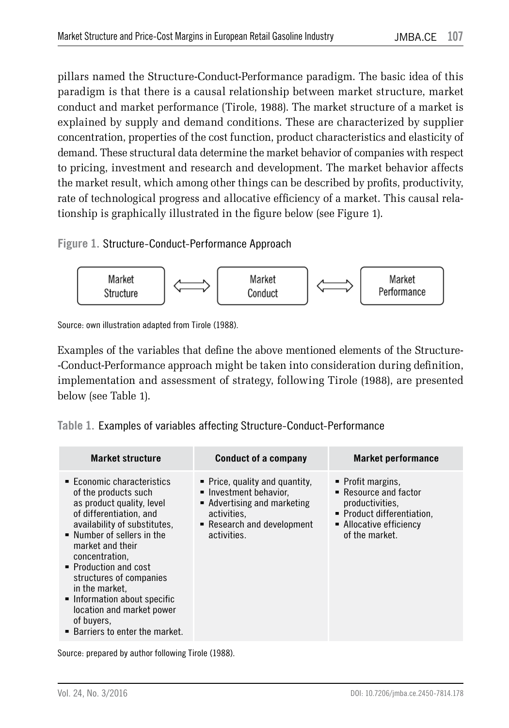pillars named the Structure-Conduct-Performance paradigm. The basic idea of this paradigm is that there is a causal relationship between market structure, market conduct and market performance (Tirole, 1988). The market structure of a market is explained by supply and demand conditions. These are characterized by supplier concentration, properties of the cost function, product characteristics and elasticity of demand. These structural data determine the market behavior of companies with respect to pricing, investment and research and development. The market behavior affects the market result, which among other things can be described by profits, productivity, rate of technological progress and allocative efficiency of a market. This causal relationship is graphically illustrated in the figure below (see Figure 1).

**Figure 1.** Structure-Conduct-Performance Approach



Source: own illustration adapted from Tirole (1988).

Examples of the variables that define the above mentioned elements of the Structure- -Conduct-Performance approach might be taken into consideration during definition, implementation and assessment of strategy, following Tirole (1988), are presented below (see Table 1).

**Table 1.** Examples of variables affecting Structure-Conduct-Performance

| <b>Market structure</b>                                                                                                                                                                                                                                                                                                                                                                                       | <b>Conduct of a company</b>                                                                                                                       | <b>Market performance</b>                                                                                                                |
|---------------------------------------------------------------------------------------------------------------------------------------------------------------------------------------------------------------------------------------------------------------------------------------------------------------------------------------------------------------------------------------------------------------|---------------------------------------------------------------------------------------------------------------------------------------------------|------------------------------------------------------------------------------------------------------------------------------------------|
| $\blacksquare$ Economic characteristics<br>of the products such<br>as product quality, level<br>of differentiation, and<br>availability of substitutes.<br>• Number of sellers in the<br>market and their<br>concentration.<br>• Production and cost<br>structures of companies<br>in the market.<br>Information about specific<br>location and market power<br>of buyers,<br>• Barriers to enter the market. | • Price, quality and quantity,<br>Investment behavior,<br>• Advertising and marketing<br>activities.<br>• Research and development<br>activities. | • Profit margins,<br>• Resource and factor<br>productivities.<br>• Product differentiation,<br>• Allocative efficiency<br>of the market. |

Source: prepared by author following Tirole (1988).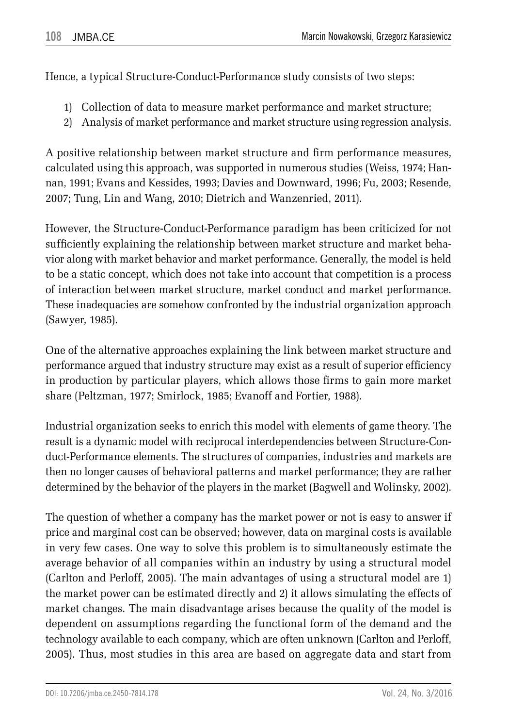Hence, a typical Structure-Conduct-Performance study consists of two steps:

- 1) Collection of data to measure market performance and market structure;
- 2) Analysis of market performance and market structure using regression analysis.

A positive relationship between market structure and firm performance measures, calculated using this approach, was supported in numerous studies (Weiss, 1974; Hannan, 1991; Evans and Kessides, 1993; Davies and Downward, 1996; Fu, 2003; Resende, 2007; Tung, Lin and Wang, 2010; Dietrich and Wanzenried, 2011).

However, the Structure-Conduct-Performance paradigm has been criticized for not sufficiently explaining the relationship between market structure and market behavior along with market behavior and market performance. Generally, the model is held to be a static concept, which does not take into account that competition is a process of interaction between market structure, market conduct and market performance. These inadequacies are somehow confronted by the industrial organization approach (Sawyer, 1985).

One of the alternative approaches explaining the link between market structure and performance argued that industry structure may exist as a result of superior efficiency in production by particular players, which allows those firms to gain more market share (Peltzman, 1977; Smirlock, 1985; Evanoff and Fortier, 1988).

Industrial organization seeks to enrich this model with elements of game theory. The result is a dynamic model with reciprocal interdependencies between Structure-Conduct-Performance elements. The structures of companies, industries and markets are then no longer causes of behavioral patterns and market performance; they are rather determined by the behavior of the players in the market (Bagwell and Wolinsky, 2002).

The question of whether a company has the market power or not is easy to answer if price and marginal cost can be observed; however, data on marginal costs is available in very few cases. One way to solve this problem is to simultaneously estimate the average behavior of all companies within an industry by using a structural model (Carlton and Perloff, 2005). The main advantages of using a structural model are 1) the market power can be estimated directly and 2) it allows simulating the effects of market changes. The main disadvantage arises because the quality of the model is dependent on assumptions regarding the functional form of the demand and the technology available to each company, which are often unknown (Carlton and Perloff, 2005). Thus, most studies in this area are based on aggregate data and start from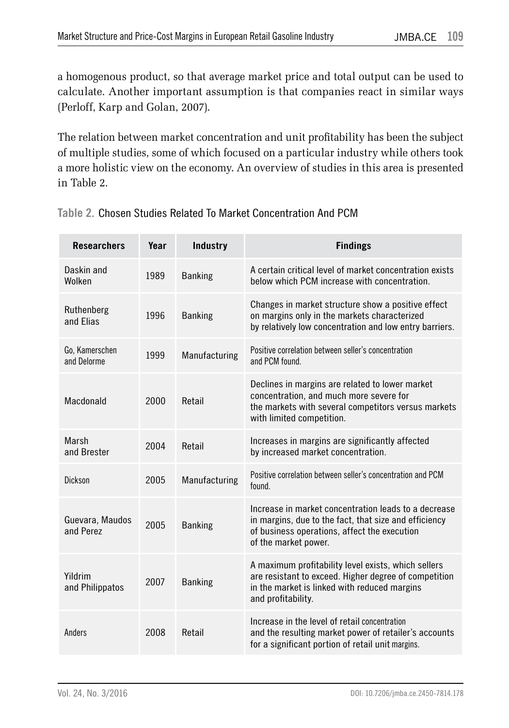a homogenous product, so that average market price and total output can be used to calculate. Another important assumption is that companies react in similar ways (Perloff, Karp and Golan, 2007).

The relation between market concentration and unit profitability has been the subject of multiple studies, some of which focused on a particular industry while others took a more holistic view on the economy. An overview of studies in this area is presented in Table 2.

| <b>Researchers</b>            | Year | <b>Industry</b> | <b>Findings</b>                                                                                                                                                                       |
|-------------------------------|------|-----------------|---------------------------------------------------------------------------------------------------------------------------------------------------------------------------------------|
| Daskin and<br>Wolken          | 1989 | <b>Banking</b>  | A certain critical level of market concentration exists<br>below which PCM increase with concentration.                                                                               |
| Ruthenberg<br>and Elias       | 1996 | <b>Banking</b>  | Changes in market structure show a positive effect<br>on margins only in the markets characterized<br>by relatively low concentration and low entry barriers.                         |
| Go, Kamerschen<br>and Delorme | 1999 | Manufacturing   | Positive correlation between seller's concentration<br>and PCM found.                                                                                                                 |
| Macdonald                     | 2000 | Retail          | Declines in margins are related to lower market<br>concentration, and much more severe for<br>the markets with several competitors versus markets<br>with limited competition.        |
| Marsh<br>and Brester          | 2004 | Retail          | Increases in margins are significantly affected<br>by increased market concentration.                                                                                                 |
| Dickson                       | 2005 | Manufacturing   | Positive correlation between seller's concentration and PCM<br>found.                                                                                                                 |
| Guevara, Maudos<br>and Perez  | 2005 | <b>Banking</b>  | Increase in market concentration leads to a decrease<br>in margins, due to the fact, that size and efficiency<br>of business operations, affect the execution<br>of the market power. |
| Yildrim<br>and Philippatos    | 2007 | <b>Banking</b>  | A maximum profitability level exists, which sellers<br>are resistant to exceed. Higher degree of competition<br>in the market is linked with reduced margins<br>and profitability.    |
| Anders                        | 2008 | Retail          | Increase in the level of retail concentration<br>and the resulting market power of retailer's accounts<br>for a significant portion of retail unit margins.                           |

**Table 2.** Chosen Studies Related To Market Concentration And PCM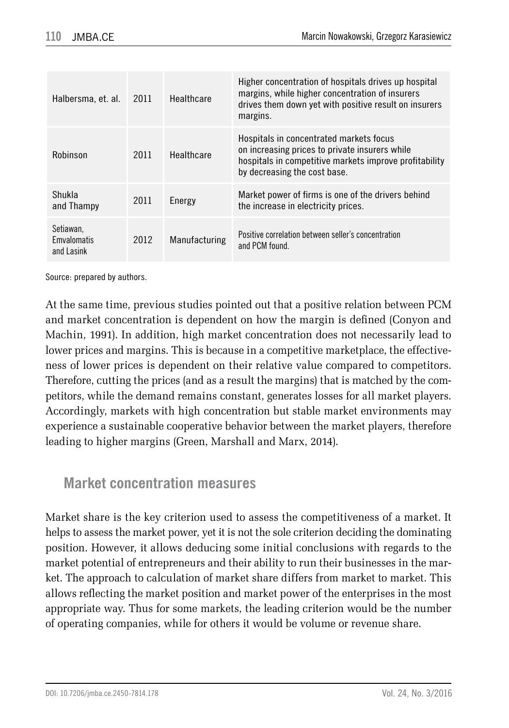| Halbersma, et. al.                            | 2011 | Healthcare    | Higher concentration of hospitals drives up hospital<br>margins, while higher concentration of insurers<br>drives them down yet with positive result on insurers<br>margins.        |
|-----------------------------------------------|------|---------------|-------------------------------------------------------------------------------------------------------------------------------------------------------------------------------------|
| Robinson                                      | 2011 | Healthcare    | Hospitals in concentrated markets focus<br>on increasing prices to private insurers while<br>hospitals in competitive markets improve profitability<br>by decreasing the cost base. |
| Shukla<br>and Thampy                          | 2011 | Energy        | Market power of firms is one of the drivers behind<br>the increase in electricity prices.                                                                                           |
| Setiawan.<br><b>Fmyalomatis</b><br>and Lasink | 2012 | Manufacturing | Positive correlation between seller's concentration<br>and PCM found.                                                                                                               |

Source: prepared by authors.

At the same time, previous studies pointed out that a positive relation between PCM and market concentration is dependent on how the margin is defined (Conyon and Machin, 1991). In addition, high market concentration does not necessarily lead to lower prices and margins. This is because in a competitive marketplace, the effectiveness of lower prices is dependent on their relative value compared to competitors. Therefore, cutting the prices (and as a result the margins) that is matched by the competitors, while the demand remains constant, generates losses for all market players. Accordingly, markets with high concentration but stable market environments may experience a sustainable cooperative behavior between the market players, therefore leading to higher margins (Green, Marshall and Marx, 2014).

### **Market concentration measures**

Market share is the key criterion used to assess the competitiveness of a market. It helps to assess the market power, yet it is not the sole criterion deciding the dominating position. However, it allows deducing some initial conclusions with regards to the market potential of entrepreneurs and their ability to run their businesses in the market. The approach to calculation of market share differs from market to market. This allows reflecting the market position and market power of the enterprises in the most appropriate way. Thus for some markets, the leading criterion would be the number of operating companies, while for others it would be volume or revenue share.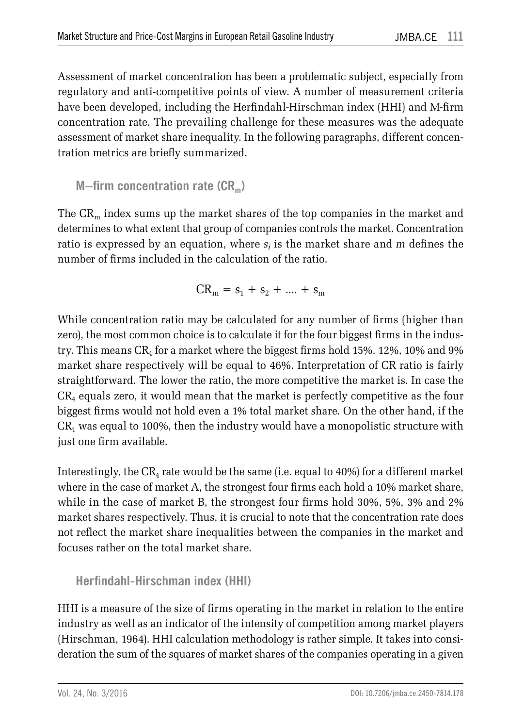Assessment of market concentration has been a problematic subject, especially from regulatory and anti-competitive points of view. A number of measurement criteria have been developed, including the Herfindahl-Hirschman index (HHI) and M-firm concentration rate. The prevailing challenge for these measures was the adequate assessment of market share inequality. In the following paragraphs, different concentration metrics are briefly summarized.

```
M–firm concentration rate (CR<sub>m</sub>)
```
The  $CR<sub>m</sub>$  index sums up the market shares of the top companies in the market and determines to what extent that group of companies controls the market. Concentration ratio is expressed by an equation, where  $s_i$  is the market share and  $m$  defines the number of firms included in the calculation of the ratio.

$$
CR_m = s_1 + s_2 + \dots + s_m
$$

While concentration ratio may be calculated for any number of firms (higher than zero), the most common choice is to calculate it for the four biggest firms in the industry. This means  $CR_4$  for a market where the biggest firms hold 15%, 12%, 10% and 9% market share respectively will be equal to 46%. Interpretation of CR ratio is fairly straightforward. The lower the ratio, the more competitive the market is. In case the  $CR_4$  equals zero, it would mean that the market is perfectly competitive as the four biggest firms would not hold even a 1% total market share. On the other hand, if the  $CR<sub>1</sub>$  was equal to 100%, then the industry would have a monopolistic structure with just one firm available.

Interestingly, the  $CR_4$  rate would be the same (i.e. equal to 40%) for a different market where in the case of market A, the strongest four firms each hold a 10% market share, while in the case of market B, the strongest four firms hold 30%, 5%, 3% and 2% market shares respectively. Thus, it is crucial to note that the concentration rate does not reflect the market share inequalities between the companies in the market and focuses rather on the total market share.

```
Herfindahl-Hirschman index (HHI)
```
HHI is a measure of the size of firms operating in the market in relation to the entire industry as well as an indicator of the intensity of competition among market players (Hirschman, 1964). HHI calculation methodology is rather simple. It takes into consideration the sum of the squares of market shares of the companies operating in a given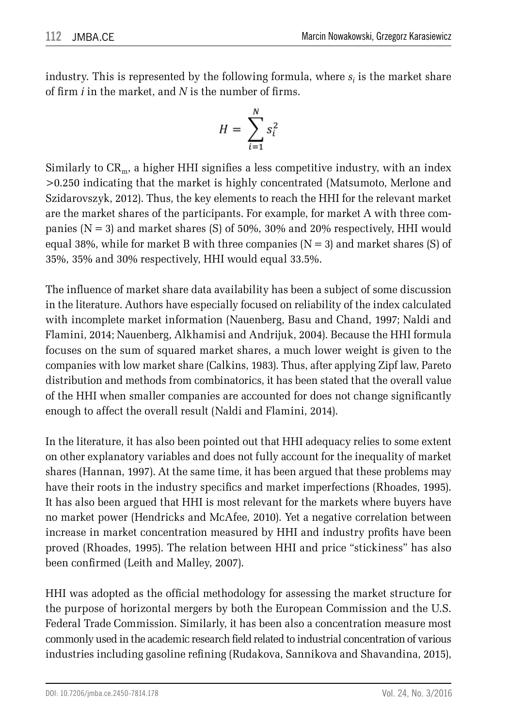industry. This is represented by the following formula, where  $s_i$  is the market share of firm *i* in the market, and *N* is the number of firms.

$$
H = \sum_{i=1}^{N} s_i^2
$$

Similarly to  $CR_m$ , a higher HHI signifies a less competitive industry, with an index >0.250 indicating that the market is highly concentrated (Matsumoto, Merlone and Szidarovszyk, 2012). Thus, the key elements to reach the HHI for the relevant market are the market shares of the participants. For example, for market A with three companies ( $N = 3$ ) and market shares (S) of 50%, 30% and 20% respectively, HHI would equal 38%, while for market B with three companies  $(N = 3)$  and market shares  $(S)$  of 35%, 35% and 30% respectively, HHI would equal 33.5%.

The influence of market share data availability has been a subject of some discussion in the literature. Authors have especially focused on reliability of the index calculated with incomplete market information (Nauenberg, Basu and Chand, 1997; Naldi and Flamini, 2014; Nauenberg, Alkhamisi and Andrijuk, 2004). Because the HHI formula focuses on the sum of squared market shares, a much lower weight is given to the companies with low market share (Calkins, 1983). Thus, after applying Zipf law, Pareto distribution and methods from combinatorics, it has been stated that the overall value of the HHI when smaller companies are accounted for does not change significantly enough to affect the overall result (Naldi and Flamini, 2014).

In the literature, it has also been pointed out that HHI adequacy relies to some extent on other explanatory variables and does not fully account for the inequality of market shares (Hannan, 1997). At the same time, it has been argued that these problems may have their roots in the industry specifics and market imperfections (Rhoades, 1995). It has also been argued that HHI is most relevant for the markets where buyers have no market power (Hendricks and McAfee, 2010). Yet a negative correlation between increase in market concentration measured by HHI and industry profits have been proved (Rhoades, 1995). The relation between HHI and price "stickiness" has also been confirmed (Leith and Malley, 2007).

HHI was adopted as the official methodology for assessing the market structure for the purpose of horizontal mergers by both the European Commission and the U.S. Federal Trade Commission. Similarly, it has been also a concentration measure most commonly used in the academic research field related to industrial concentration of various industries including gasoline refining (Rudakova, Sannikova and Shavandina, 2015),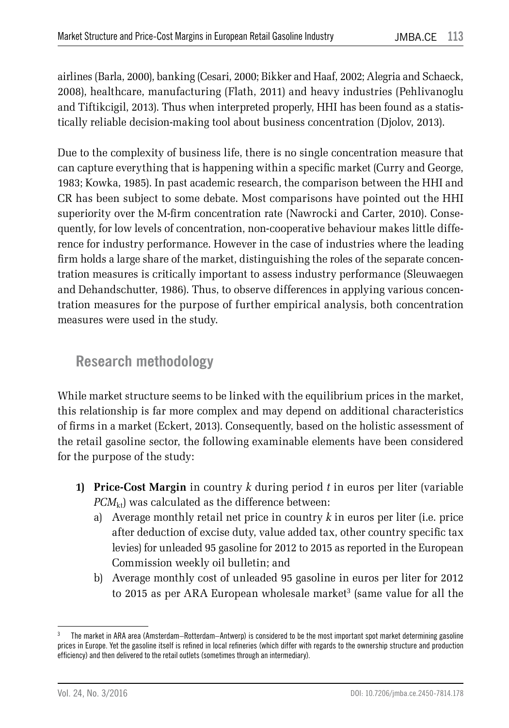airlines (Barla, 2000), banking (Cesari, 2000; Bikker and Haaf, 2002; Alegria and Schaeck, 2008), healthcare, manufacturing (Flath, 2011) and heavy industries (Pehlivanoglu and Tiftikcigil, 2013). Thus when interpreted properly, HHI has been found as a statistically reliable decision-making tool about business concentration (Djolov, 2013).

Due to the complexity of business life, there is no single concentration measure that can capture everything that is happening within a specific market (Curry and George, 1983; Kowka, 1985). In past academic research, the comparison between the HHI and CR has been subject to some debate. Most comparisons have pointed out the HHI superiority over the M-firm concentration rate (Nawrocki and Carter, 2010). Consequently, for low levels of concentration, non-cooperative behaviour makes little difference for industry performance. However in the case of industries where the leading firm holds a large share of the market, distinguishing the roles of the separate concentration measures is critically important to assess industry performance (Sleuwaegen and Dehandschutter, 1986). Thus, to observe differences in applying various concentration measures for the purpose of further empirical analysis, both concentration measures were used in the study.

## **Research methodology**

While market structure seems to be linked with the equilibrium prices in the market, this relationship is far more complex and may depend on additional characteristics of firms in a market (Eckert, 2013). Consequently, based on the holistic assessment of the retail gasoline sector, the following examinable elements have been considered for the purpose of the study:

- **1) Price-Cost Margin** in country *k* during period *t* in euros per liter (variable  $PCM_{kt}$ ) was calculated as the difference between:
	- a) Average monthly retail net price in country *k* in euros per liter (i.e. price after deduction of excise duty, value added tax, other country specific tax levies) for unleaded 95 gasoline for 2012 to 2015 as reported in the European Commission weekly oil bulletin; and
	- b) Average monthly cost of unleaded 95 gasoline in euros per liter for 2012 to 2015 as per ARA European wholesale market<sup>3</sup> (same value for all the

<sup>&</sup>lt;sup>3</sup> The market in ARA area (Amsterdam–Rotterdam–Antwerp) is considered to be the most important spot market determining gasoline prices in Europe. Yet the gasoline itself is refined in local refineries (which differ with regards to the ownership structure and production efficiency) and then delivered to the retail outlets (sometimes through an intermediary).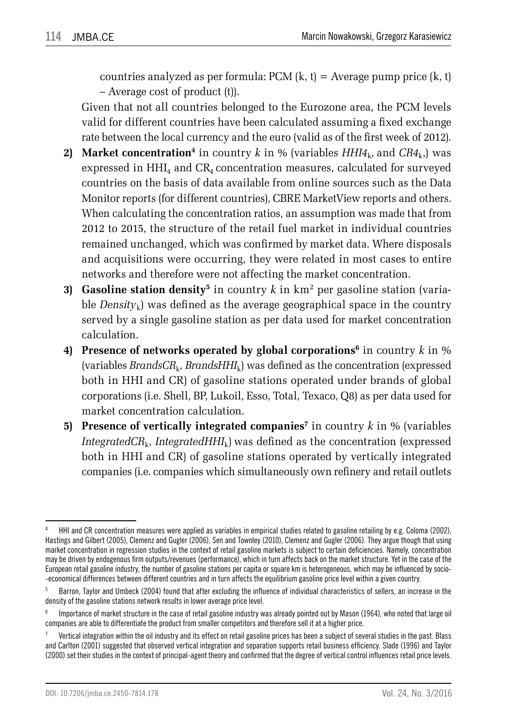countries analyzed as per formula:  $PCM (k, t) = Average$  pump price  $(k, t)$ – Average cost of product (t)).

Given that not all countries belonged to the Eurozone area, the PCM levels valid for different countries have been calculated assuming a fixed exchange rate between the local currency and the euro (valid as of the first week of 2012).

- **2) Market concentration<sup>4</sup> in country** *k* **in % (variables** *HHI4***<sub>k</sub>, and** *CR4***<sub>k</sub>,) was** expressed in HHI<sub>4</sub> and CR<sub>4</sub> concentration measures, calculated for surveyed countries on the basis of data available from online sources such as the Data Monitor reports (for different countries), CBRE MarketView reports and others. When calculating the concentration ratios, an assumption was made that from 2012 to 2015, the structure of the retail fuel market in individual countries remained unchanged, which was confirmed by market data. Where disposals and acquisitions were occurring, they were related in most cases to entire networks and therefore were not affecting the market concentration.
- **3) Gasoline station density<sup>5</sup>** in country  $k$  in  $km^2$  per gasoline station (variable *Density*<sub>k</sub>) was defined as the average geographical space in the country served by a single gasoline station as per data used for market concentration calculation.
- **4) Presence of networks operated by global corporations<sup>6</sup> in country** *k* **in %** (variables *BrandsCR*k*, BrandsHHI*k) was defined as the concentration (expressed both in HHI and CR) of gasoline stations operated under brands of global corporations (i.e. Shell, BP, Lukoil, Esso, Total, Texaco, Q8) as per data used for market concentration calculation.
- **5) Presence of vertically integrated companies<sup>7</sup> in country**  $k$  **in % (variables)** *IntegratedCR*k, *IntegratedHHI*k) was defined as the concentration (expressed both in HHI and CR) of gasoline stations operated by vertically integrated companies (i.e. companies which simultaneously own refinery and retail outlets

<sup>4</sup> HHI and CR concentration measures were applied as variables in empirical studies related to gasoline retailing by e.g. Coloma (2002), Hastings and Gilbert (2005), Clemenz and Gugler (2006), Sen and Townley (2010), Clemenz and Gugler (2006). They argue though that using market concentration in regression studies in the context of retail gasoline markets is subject to certain deficiencies. Namely, concentration may be driven by endogenous firm outputs/revenues (performance), which in turn affects back on the market structure. Yet in the case of the European retail gasoline industry, the number of gasoline stations per capita or square km is heterogeneous, which may be influenced by socio- -economical differences between different countries and in turn affects the equilibrium gasoline price level within a given country.

<sup>5</sup> Barron, Taylor and Umbeck (2004) found that after excluding the influence of individual characteristics of sellers, an increase in the density of the gasoline stations network results in lower average price level.

<sup>6</sup> Importance of market structure in the case of retail gasoline industry was already pointed out by Mason (1964), who noted that large oil companies are able to differentiate the product from smaller competitors and therefore sell it at a higher price.

 $7$  Vertical integration within the oil industry and its effect on retail gasoline prices has been a subject of several studies in the past. Blass and Carlton (2001) suggested that observed vertical integration and separation supports retail business efficiency. Slade (1996) and Taylor (2000) set their studies in the context of principal-agent theory and confirmed that the degree of vertical control influences retail price levels.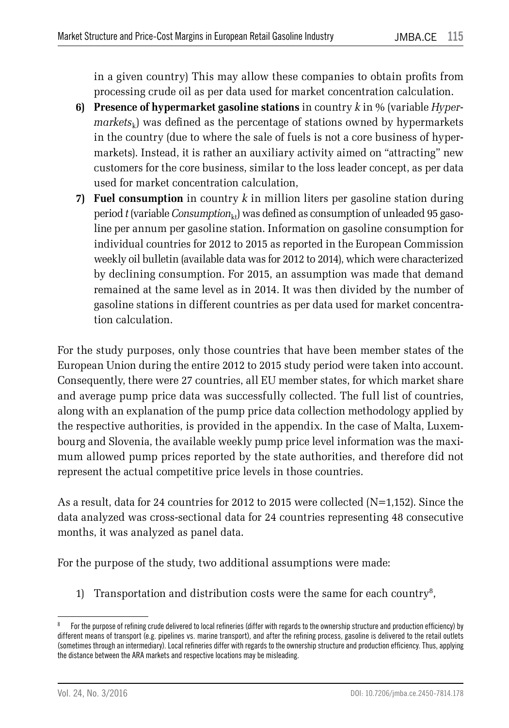in a given country) This may allow these companies to obtain profits from processing crude oil as per data used for market concentration calculation.

- **6) Presence of hypermarket gasoline stations** in country *k* in % (variable *Hypermarkets*<sup>1</sup>) was defined as the percentage of stations owned by hypermarkets in the country (due to where the sale of fuels is not a core business of hypermarkets). Instead, it is rather an auxiliary activity aimed on "attracting" new customers for the core business, similar to the loss leader concept, as per data used for market concentration calculation,
- **7) Fuel consumption** in country *k* in million liters per gasoline station during period *t* (variable *Consumption*<sub>kt</sub>) was defined as consumption of unleaded 95 gasoline per annum per gasoline station. Information on gasoline consumption for individual countries for 2012 to 2015 as reported in the European Commission weekly oil bulletin (available data was for 2012 to 2014), which were characterized by declining consumption. For 2015, an assumption was made that demand remained at the same level as in 2014. It was then divided by the number of gasoline stations in different countries as per data used for market concentration calculation.

For the study purposes, only those countries that have been member states of the European Union during the entire 2012 to 2015 study period were taken into account. Consequently, there were 27 countries, all EU member states, for which market share and average pump price data was successfully collected. The full list of countries, along with an explanation of the pump price data collection methodology applied by the respective authorities, is provided in the appendix. In the case of Malta, Luxembourg and Slovenia, the available weekly pump price level information was the maximum allowed pump prices reported by the state authorities, and therefore did not represent the actual competitive price levels in those countries.

As a result, data for 24 countries for 2012 to 2015 were collected (N=1,152). Since the data analyzed was cross-sectional data for 24 countries representing 48 consecutive months, it was analyzed as panel data.

For the purpose of the study, two additional assumptions were made:

1) Transportation and distribution costs were the same for each country<sup>8</sup>,

For the purpose of refining crude delivered to local refineries (differ with regards to the ownership structure and production efficiency) by different means of transport (e.g. pipelines vs. marine transport), and after the refining process, gasoline is delivered to the retail outlets (sometimes through an intermediary). Local refineries differ with regards to the ownership structure and production efficiency. Thus, applying the distance between the ARA markets and respective locations may be misleading.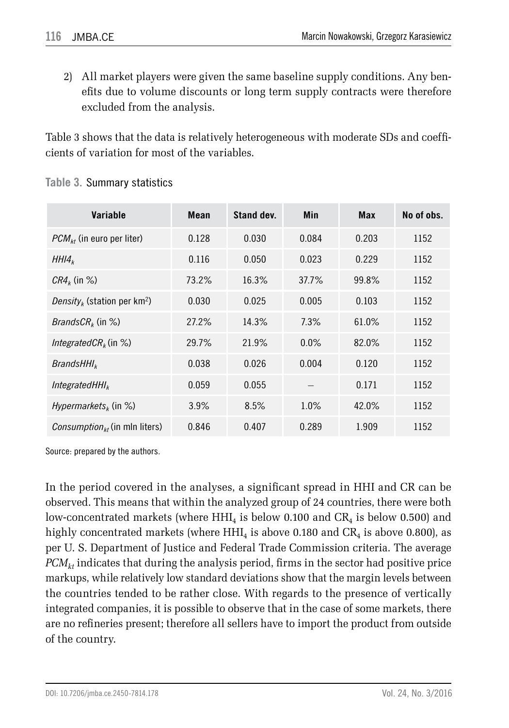2) All market players were given the same baseline supply conditions. Any benefits due to volume discounts or long term supply contracts were therefore excluded from the analysis.

Table 3 shows that the data is relatively heterogeneous with moderate SDs and coefficients of variation for most of the variables.

| Variable                                            | Mean  | Stand dev. | Min     | <b>Max</b> | No of obs. |
|-----------------------------------------------------|-------|------------|---------|------------|------------|
| $PCM_{kt}$ (in euro per liter)                      | 0.128 | 0.030      | 0.084   | 0.203      | 1152       |
| $HHI4_k$                                            | 0.116 | 0.050      | 0.023   | 0.229      | 1152       |
| $CR4_k$ (in %)                                      | 73.2% | 16.3%      | 37.7%   | 99.8%      | 1152       |
| Density <sub>k</sub> (station per km <sup>2</sup> ) | 0.030 | 0.025      | 0.005   | 0.103      | 1152       |
| <i>BrandsCR<sub>k</sub></i> (in $\%)$               | 27.2% | 14.3%      | 7.3%    | 61.0%      | 1152       |
| Integrated $CR_k$ (in %)                            | 29.7% | 21.9%      | $0.0\%$ | 82.0%      | 1152       |
| BrandsHHI <sub>k</sub>                              | 0.038 | 0.026      | 0.004   | 0.120      | 1152       |
| Integrated HHI <sub>k</sub>                         | 0.059 | 0.055      |         | 0.171      | 1152       |
| <i>Hypermarkets<sub>k</sub></i> (in $\%)$           | 3.9%  | 8.5%       | 1.0%    | 42.0%      | 1152       |
| <i>Consumption</i> <sub>kt</sub> (in mln liters)    | 0.846 | 0.407      | 0.289   | 1.909      | 1152       |

|  | Table 3. Summary statistics |  |
|--|-----------------------------|--|
|--|-----------------------------|--|

Source: prepared by the authors.

In the period covered in the analyses, a significant spread in HHI and CR can be observed. This means that within the analyzed group of 24 countries, there were both low-concentrated markets (where HHI<sub>4</sub> is below 0.100 and  $CR_4$  is below 0.500) and highly concentrated markets (where  $HHI<sub>4</sub>$  is above 0.180 and  $CR<sub>4</sub>$  is above 0.800), as per U. S. Department of Justice and Federal Trade Commission criteria. The average  $PCM<sub>kt</sub>$  indicates that during the analysis period, firms in the sector had positive price markups, while relatively low standard deviations show that the margin levels between the countries tended to be rather close. With regards to the presence of vertically integrated companies, it is possible to observe that in the case of some markets, there are no refineries present; therefore all sellers have to import the product from outside of the country.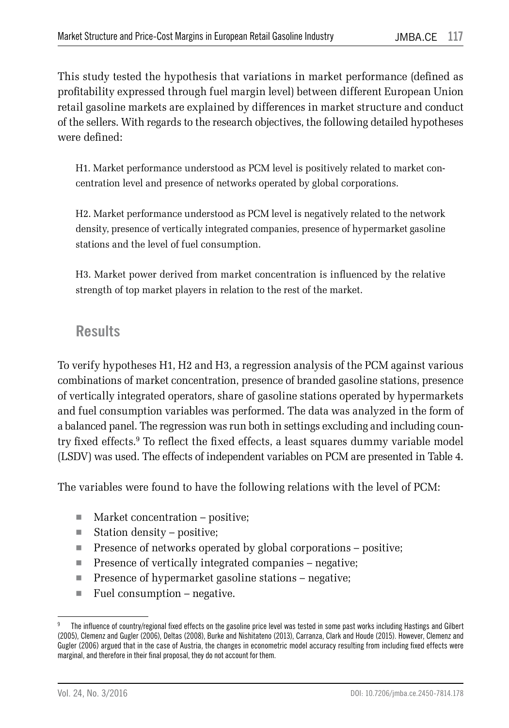This study tested the hypothesis that variations in market performance (defined as profitability expressed through fuel margin level) between different European Union retail gasoline markets are explained by differences in market structure and conduct of the sellers. With regards to the research objectives, the following detailed hypotheses were defined:

H1. Market performance understood as PCM level is positively related to market concentration level and presence of networks operated by global corporations.

H2. Market performance understood as PCM level is negatively related to the network density, presence of vertically integrated companies, presence of hypermarket gasoline stations and the level of fuel consumption.

H3. Market power derived from market concentration is influenced by the relative strength of top market players in relation to the rest of the market.

## **Results**

To verify hypotheses H1, H2 and H3, a regression analysis of the PCM against various combinations of market concentration, presence of branded gasoline stations, presence of vertically integrated operators, share of gasoline stations operated by hypermarkets and fuel consumption variables was performed. The data was analyzed in the form of a balanced panel. The regression was run both in settings excluding and including country fixed effects.9 To reflect the fixed effects, a least squares dummy variable model (LSDV) was used. The effects of independent variables on PCM are presented in Table 4.

The variables were found to have the following relations with the level of PCM:

- $\blacksquare$  Market concentration positive;
- $\blacksquare$  Station density positive;
- **Presence of networks operated by global corporations positive;**
- $\blacksquare$  Presence of vertically integrated companies negative;
- Presence of hypermarket gasoline stations negative;
- $\blacksquare$  Fuel consumption negative.

The influence of country/regional fixed effects on the gasoline price level was tested in some past works including Hastings and Gilbert (2005), Clemenz and Gugler (2006), Deltas (2008), Burke and Nishitateno (2013), Carranza, Clark and Houde (2015). However, Clemenz and Gugler (2006) argued that in the case of Austria, the changes in econometric model accuracy resulting from including fixed effects were marginal, and therefore in their final proposal, they do not account for them.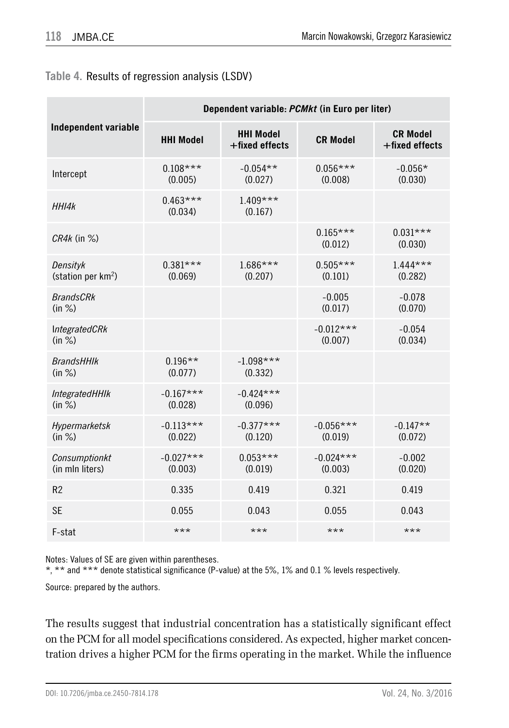#### **Table 4.** Results of regression analysis (LSDV)

|                                            | Dependent variable: PCMkt (in Euro per liter) |                                    |                        |                                      |  |
|--------------------------------------------|-----------------------------------------------|------------------------------------|------------------------|--------------------------------------|--|
| Independent variable                       | <b>HHI Model</b>                              | <b>HHI Model</b><br>+fixed effects | <b>CR Model</b>        | <b>CR Model</b><br>$+$ fixed effects |  |
| Intercept                                  | $0.108***$<br>(0.005)                         | $-0.054**$<br>(0.027)              | $0.056***$<br>(0.008)  | $-0.056*$<br>(0.030)                 |  |
| HHIAk                                      | $0.463***$<br>(0.034)                         | $1.409***$<br>(0.167)              |                        |                                      |  |
| $CR4k$ (in %)                              |                                               |                                    | $0.165***$<br>(0.012)  | $0.031***$<br>(0.030)                |  |
| Densityk<br>(station per km <sup>2</sup> ) | $0.381***$<br>(0.069)                         | $1.686***$<br>(0.207)              | $0.505***$<br>(0.101)  | $1.444***$<br>(0.282)                |  |
| <b>BrandsCRk</b><br>(in %)                 |                                               |                                    | $-0.005$<br>(0.017)    | $-0.078$<br>(0.070)                  |  |
| <b>IntegratedCRk</b><br>(in %)             |                                               |                                    | $-0.012***$<br>(0.007) | $-0.054$<br>(0.034)                  |  |
| <b>BrandsHHIk</b><br>(in %)                | $0.196**$<br>(0.077)                          | $-1.098***$<br>(0.332)             |                        |                                      |  |
| <b>IntegratedHHIk</b><br>(in %)            | $-0.167***$<br>(0.028)                        | $-0.424***$<br>(0.096)             |                        |                                      |  |
| Hypermarketsk<br>(in %)                    | $-0.113***$<br>(0.022)                        | $-0.377***$<br>(0.120)             | $-0.056***$<br>(0.019) | $-0.147**$<br>(0.072)                |  |
| Consumptionkt<br>(in mln liters)           | $-0.027***$<br>(0.003)                        | $0.053***$<br>(0.019)              | $-0.024***$<br>(0.003) | $-0.002$<br>(0.020)                  |  |
| R <sub>2</sub>                             | 0.335                                         | 0.419                              | 0.321                  | 0.419                                |  |
| <b>SE</b>                                  | 0.055                                         | 0.043                              | 0.055                  | 0.043                                |  |
| F-stat                                     | ***                                           | ***                                | $***$                  | $***$                                |  |

Notes: Values of SE are given within parentheses.

\*, \*\* and \*\*\* denote statistical significance (P-value) at the 5%, 1% and 0.1 % levels respectively.

Source: prepared by the authors.

The results suggest that industrial concentration has a statistically significant effect on the PCM for all model specifications considered. As expected, higher market concentration drives a higher PCM for the firms operating in the market. While the influence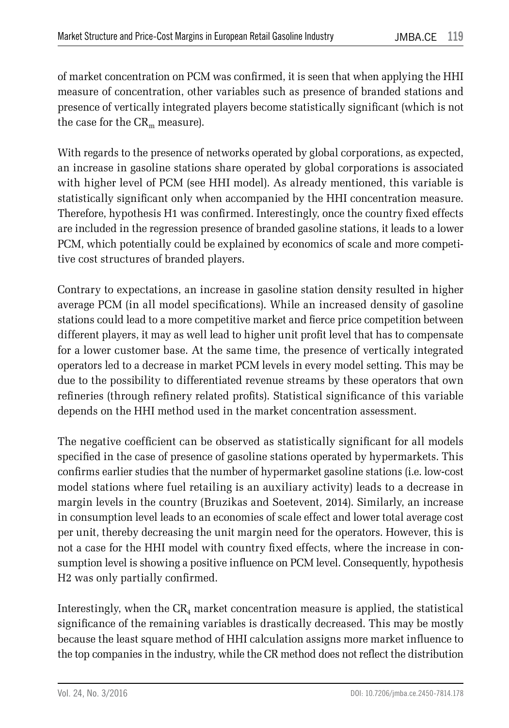of market concentration on PCM was confirmed, it is seen that when applying the HHI measure of concentration, other variables such as presence of branded stations and presence of vertically integrated players become statistically significant (which is not the case for the  $CR_m$  measure).

With regards to the presence of networks operated by global corporations, as expected, an increase in gasoline stations share operated by global corporations is associated with higher level of PCM (see HHI model). As already mentioned, this variable is statistically significant only when accompanied by the HHI concentration measure. Therefore, hypothesis H1 was confirmed. Interestingly, once the country fixed effects are included in the regression presence of branded gasoline stations, it leads to a lower PCM, which potentially could be explained by economics of scale and more competitive cost structures of branded players.

Contrary to expectations, an increase in gasoline station density resulted in higher average PCM (in all model specifications). While an increased density of gasoline stations could lead to a more competitive market and fierce price competition between different players, it may as well lead to higher unit profit level that has to compensate for a lower customer base. At the same time, the presence of vertically integrated operators led to a decrease in market PCM levels in every model setting. This may be due to the possibility to differentiated revenue streams by these operators that own refineries (through refinery related profits). Statistical significance of this variable depends on the HHI method used in the market concentration assessment.

The negative coefficient can be observed as statistically significant for all models specified in the case of presence of gasoline stations operated by hypermarkets. This confirms earlier studies that the number of hypermarket gasoline stations (i.e. low-cost model stations where fuel retailing is an auxiliary activity) leads to a decrease in margin levels in the country (Bruzikas and Soetevent, 2014). Similarly, an increase in consumption level leads to an economies of scale effect and lower total average cost per unit, thereby decreasing the unit margin need for the operators. However, this is not a case for the HHI model with country fixed effects, where the increase in consumption level is showing a positive influence on PCM level. Consequently, hypothesis H2 was only partially confirmed.

Interestingly, when the  $CR_4$  market concentration measure is applied, the statistical significance of the remaining variables is drastically decreased. This may be mostly because the least square method of HHI calculation assigns more market influence to the top companies in the industry, while the CR method does not reflect the distribution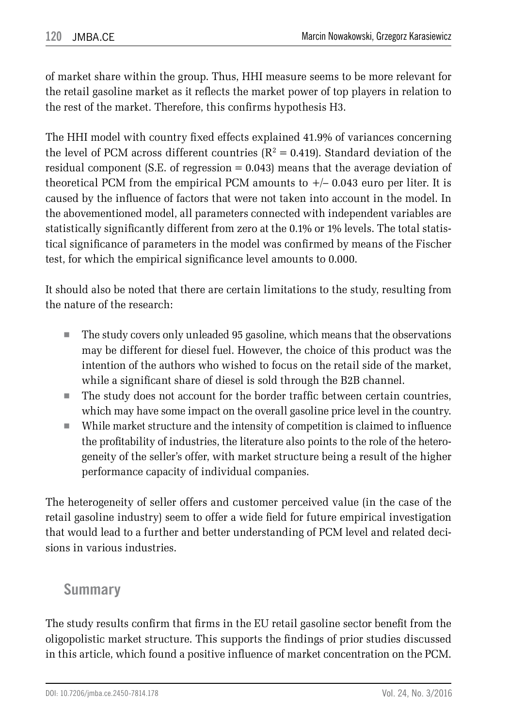of market share within the group. Thus, HHI measure seems to be more relevant for the retail gasoline market as it reflects the market power of top players in relation to the rest of the market. Therefore, this confirms hypothesis H3.

The HHI model with country fixed effects explained 41.9% of variances concerning the level of PCM across different countries  $(R^2 = 0.419)$ . Standard deviation of the residual component (S.E. of regression  $= 0.043$ ) means that the average deviation of theoretical PCM from the empirical PCM amounts to  $+/- 0.043$  euro per liter. It is caused by the influence of factors that were not taken into account in the model. In the abovementioned model, all parameters connected with independent variables are statistically significantly different from zero at the 0.1% or 1% levels. The total statistical significance of parameters in the model was confirmed by means of the Fischer test, for which the empirical significance level amounts to 0.000.

It should also be noted that there are certain limitations to the study, resulting from the nature of the research:

- $\blacksquare$  The study covers only unleaded 95 gasoline, which means that the observations may be different for diesel fuel. However, the choice of this product was the intention of the authors who wished to focus on the retail side of the market, while a significant share of diesel is sold through the B2B channel.
- The study does not account for the border traffic between certain countries, which may have some impact on the overall gasoline price level in the country.
- While market structure and the intensity of competition is claimed to influence the profitability of industries, the literature also points to the role of the heterogeneity of the seller's offer, with market structure being a result of the higher performance capacity of individual companies.

The heterogeneity of seller offers and customer perceived value (in the case of the retail gasoline industry) seem to offer a wide field for future empirical investigation that would lead to a further and better understanding of PCM level and related decisions in various industries.

# **Summary**

The study results confirm that firms in the EU retail gasoline sector benefit from the oligopolistic market structure. This supports the findings of prior studies discussed in this article, which found a positive influence of market concentration on the PCM.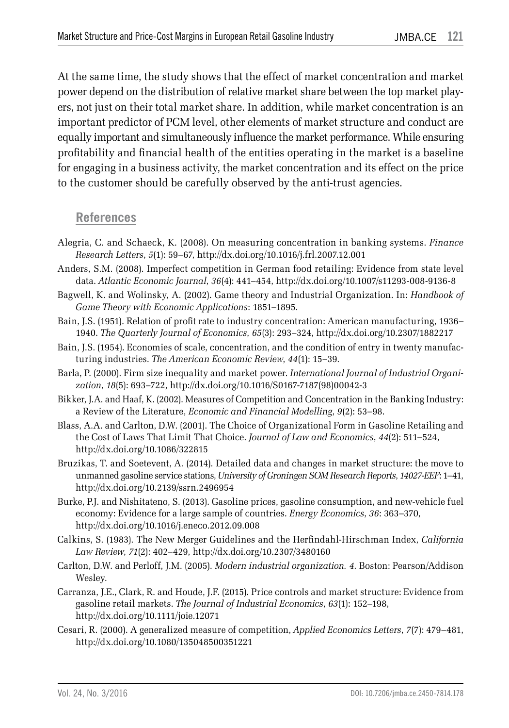At the same time, the study shows that the effect of market concentration and market power depend on the distribution of relative market share between the top market players, not just on their total market share. In addition, while market concentration is an important predictor of PCM level, other elements of market structure and conduct are equally important and simultaneously influence the market performance. While ensuring profitability and financial health of the entities operating in the market is a baseline for engaging in a business activity, the market concentration and its effect on the price to the customer should be carefully observed by the anti-trust agencies.

#### **References**

- Alegria, C. and Schaeck, K. (2008). On measuring concentration in banking systems. *Finance Research Letters*, *5*(1): 59–67, http://dx.doi.org/10.1016/j.frl.2007.12.001
- Anders, S.M. (2008). Imperfect competition in German food retailing: Evidence from state level data. *Atlantic Economic Journal*, *36*(4): 441–454, http://dx.doi.org/10.1007/s11293-008-9136-8
- Bagwell, K. and Wolinsky, A. (2002). Game theory and Industrial Organization. In: *Handbook of Game Theory with Economic Applications*: 1851–1895.
- Bain, J.S. (1951). Relation of profit rate to industry concentration: American manufacturing, 1936– 1940. *The Quarterly Journal of Economics*, *65*(3): 293–324, http://dx.doi.org/10.2307/1882217
- Bain, J.S. (1954). Economies of scale, concentration, and the condition of entry in twenty manufacturing industries. *The American Economic Review*, *44*(1): 15–39.
- Barla, P. (2000). Firm size inequality and market power. *International Journal of Industrial Organization*, *18*(5): 693–722, http://dx.doi.org/10.1016/S0167-7187(98)00042-3
- Bikker, J.A. and Haaf, K. (2002). Measures of Competition and Concentration in the Banking Industry: a Review of the Literature, *Economic and Financial Modelling*, *9*(2): 53–98.
- Blass, A.A. and Carlton, D.W. (2001). The Choice of Organizational Form in Gasoline Retailing and the Cost of Laws That Limit That Choice. *Journal of Law and Economics*, *44*(2): 511–524, http://dx.doi.org/10.1086/322815
- Bruzikas, T. and Soetevent, A*.* (2014)*.* Detailed data and changes in market structure: the move to unmanned gasoline service stations, *University of Groningen SOM Research Reports*, *14027-EEF*: 1–41, http://dx.doi.org/10.2139/ssrn.2496954
- Burke, P.J. and Nishitateno, S. (2013). Gasoline prices, gasoline consumption, and new-vehicle fuel economy: Evidence for a large sample of countries. *Energy Economics*, *36*: 363–370, http://dx.doi.org/10.1016/j.eneco.2012.09.008
- Calkins, S. (1983). The New Merger Guidelines and the Herfindahl-Hirschman Index, *California Law Review*, *71*(2): 402–429, http://dx.doi.org/10.2307/3480160
- Carlton, D.W. and Perloff, J.M. (2005). *Modern industrial organization. 4*. Boston: Pearson/Addison Wesley.
- Carranza, J.E., Clark, R. and Houde, J.F. (2015). Price controls and market structure: Evidence from gasoline retail markets. *The Journal of Industrial Economics*, *63*(1): 152–198, http://dx.doi.org/10.1111/joie.12071
- Cesari, R. (2000). A generalized measure of competition, *Applied Economics Letters*, *7*(7): 479–481, http://dx.doi.org/10.1080/135048500351221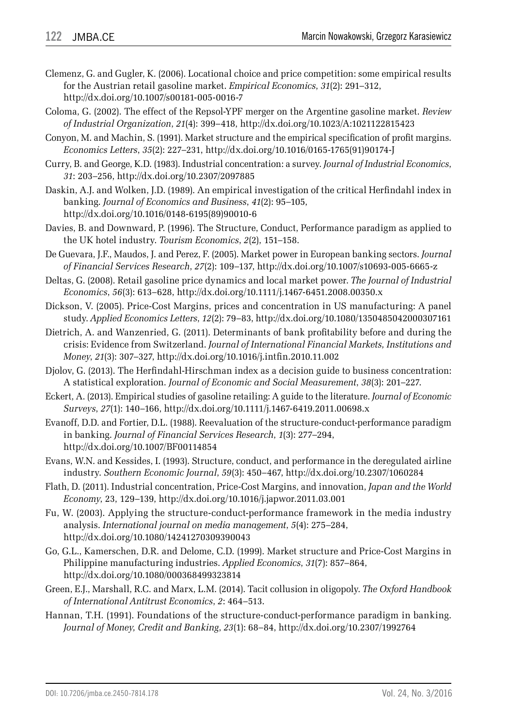- Clemenz, G. and Gugler, K. (2006). Locational choice and price competition: some empirical results for the Austrian retail gasoline market. *Empirical Economics*, *31*(2): 291–312, http://dx.doi.org/10.1007/s00181-005-0016-7
- Coloma, G. (2002). The effect of the Repsol-YPF merger on the Argentine gasoline market. *Review of Industrial Organization*, *21*(4): 399–418, http://dx.doi.org/10.1023/A:1021122815423
- Conyon, M. and Machin, S. (1991). Market structure and the empirical specification of profit margins. *Economics Letters*, *35*(2): 227–231, http://dx.doi.org/10.1016/0165-1765(91)90174-J
- Curry, B. and George, K.D. (1983). Industrial concentration: a survey. *Journal of Industrial Economics*, *31*: 203–256, http://dx.doi.org/10.2307/2097885
- Daskin, A.J. and Wolken, J.D. (1989). An empirical investigation of the critical Herfindahl index in banking. *Journal of Economics and Business*, *41*(2): 95–105, http://dx.doi.org/10.1016/0148-6195(89)90010-6
- Davies, B. and Downward, P. (1996). The Structure, Conduct, Performance paradigm as applied to the UK hotel industry. *Tourism Economics*, *2*(2), 151–158.
- De Guevara, J.F., Maudos, J. and Perez, F. (2005). Market power in European banking sectors. *Journal of Financial Services Research*, *27*(2): 109–137, http://dx.doi.org/10.1007/s10693-005-6665-z
- Deltas, G. (2008). Retail gasoline price dynamics and local market power. *The Journal of Industrial Economics*, *56*(3): 613–628, http://dx.doi.org/10.1111/j.1467-6451.2008.00350.x
- Dickson, V. (2005). Price-Cost Margins, prices and concentration in US manufacturing: A panel study. *Applied Economics Letters*, *12*(2): 79–83, http://dx.doi.org/10.1080/1350485042000307161
- Dietrich, A. and Wanzenried, G. (2011). Determinants of bank profitability before and during the crisis: Evidence from Switzerland. *Journal of International Financial Markets, Institutions and Money*, *21*(3): 307–327, http://dx.doi.org/10.1016/j.intfin.2010.11.002
- Djolov, G. (2013). The Herfindahl-Hirschman index as a decision guide to business concentration: A statistical exploration. *Journal of Economic and Social Measurement*, *38*(3): 201–227.
- Eckert, A. (2013). Empirical studies of gasoline retailing: A guide to the literature. *Journal of Economic Surveys*, *27*(1): 140–166, http://dx.doi.org/10.1111/j.1467-6419.2011.00698.x
- Evanoff, D.D. and Fortier, D.L. (1988). Reevaluation of the structure-conduct-performance paradigm in banking. *Journal of Financial Services Research*, *1*(3): 277–294, http://dx.doi.org/10.1007/BF00114854
- Evans, W.N. and Kessides, I. (1993). Structure, conduct, and performance in the deregulated airline industry. *Southern Economic Journal*, *59*(3): 450–467, http://dx.doi.org/10.2307/1060284
- Flath, D. (2011). Industrial concentration, Price-Cost Margins, and innovation, *Japan and the World Economy*, 23, 129–139, http://dx.doi.org/10.1016/j.japwor.2011.03.001
- Fu, W. (2003). Applying the structure-conduct-performance framework in the media industry analysis. *International journal on media management*, *5*(4): 275–284, http://dx.doi.org/10.1080/14241270309390043
- Go, G.L., Kamerschen, D.R. and Delome, C.D. (1999). Market structure and Price-Cost Margins in Philippine manufacturing industries. *Applied Economics*, *31*(7): 857–864, http://dx.doi.org/10.1080/000368499323814
- Green, E.J., Marshall, R.C. and Marx, L.M. (2014). Tacit collusion in oligopoly. *The Oxford Handbook of International Antitrust Economics*, *2*: 464–513.
- Hannan, T.H. (1991). Foundations of the structure-conduct-performance paradigm in banking. *Journal of Money, Credit and Banking*, *23*(1): 68–84, http://dx.doi.org/10.2307/1992764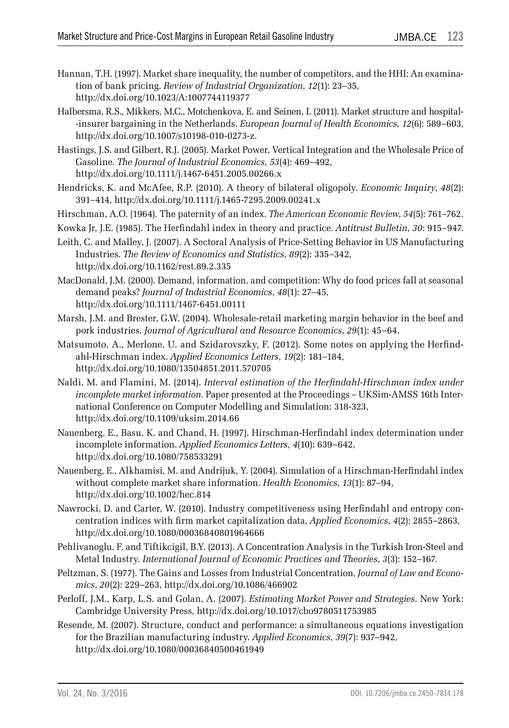- Hannan, T.H. (1997). Market share inequality, the number of competitors, and the HHI: An examination of bank pricing. *Review of Industrial Organization*, *12*(1): 23–35, http://dx.doi.org/10.1023/A:1007744119377
- Halbersma, R.S., Mikkers, M.C., Motchenkova, E. and Seinen, I. (2011). Market structure and hospital- -insurer bargaining in the Netherlands. *European Journal of Health Economics, 12*(6): 589–603, http://dx.doi.org/10.1007/s10198-010-0273-z.
- Hastings, J.S. and Gilbert, R.J. (2005). Market Power, Vertical Integration and the Wholesale Price of Gasoline. *The Journal of Industrial Economics*, *53*(4): 469–492, http://dx.doi.org/10.1111/j.1467-6451.2005.00266.x
- Hendricks, K. and McAfee, R.P. (2010). A theory of bilateral oligopoly. *Economic Inquiry*, *48*(2): 391–414, http://dx.doi.org/10.1111/j.1465-7295.2009.00241.x
- Hirschman, A.O. (1964). The paternity of an index. *The American Economic Review*, *54*(5): 761–762.
- Kowka Jr, J.E. (1985). The Herfindahl index in theory and practice. *Antitrust Bulletin*, *30*: 915–947.
- Leith, C. and Malley, J. (2007). A Sectoral Analysis of Price-Setting Behavior in US Manufacturing Industries. *The Review of Economics and Statistics*, *89*(2): 335–342, http://dx.doi.org/10.1162/rest.89.2.335
- MacDonald, J.M. (2000). Demand, information, and competition: Why do food prices fall at seasonal demand peaks? *Journal of Industrial Economics*, *48*(1): 27–45, http://dx.doi.org/10.1111/1467-6451.00111
- Marsh, J.M. and Brester, G.W. (2004). Wholesale-retail marketing margin behavior in the beef and pork industries. *Journal of Agricultural and Resource Economics*, *29*(1): 45–64.
- Matsumoto, A., Merlone, U. and Szidarovszky, F. (2012). Some notes on applying the Herfindahl-Hirschman index. *Applied Economics Letters*, *19*(2): 181–184, http://dx.doi.org/10.1080/13504851.2011.570705
- Naldi, M. and Flamini, M. (2014). *Interval estimation of the Herfindahl-Hirschman index under incomplete market information.* Paper presented at the Proceedings – UKSim-AMSS 16th International Conference on Computer Modelling and Simulation: 318-323, http://dx.doi.org/10.1109/uksim.2014.66
- Nauenberg, E., Basu, K. and Chand, H. (1997). Hirschman-Herfindahl index determination under incomplete information. *Applied Economics Letters*, *4*(10): 639–642, http://dx.doi.org/10.1080/758533291
- Nauenberg, E., Alkhamisi, M. and Andrijuk, Y. (2004). Simulation of a Hirschman-Herfindahl index without complete market share information. *Health Economics*, *13*(1): 87–94, http://dx.doi.org/10.1002/hec.814
- Nawrocki, D. and Carter, W. (2010). Industry competitiveness using Herfindahl and entropy concentration indices with firm market capitalization data, *Applied Economics*, *4*(2): 2855–2863, http://dx.doi.org/10.1080/00036840801964666
- Pehlivanoglu, F. and Tiftikcigil, B.Y. (2013). A Concentration Analysis in the Turkish Iron-Steel and Metal Industry. *International Journal of Economic Practices and Theories*, *3*(3): 152–167.
- Peltzman, S. (1977). The Gains and Losses from Industrial Concentration, *Journal of Law and Economics*, *20*(2): 229–263, http://dx.doi.org/10.1086/466902
- Perloff, J.M., Karp, L.S. and Golan, A. (2007). *Estimating Market Power and Strategies*. New York: Cambridge University Press, http://dx.doi.org/10.1017/cbo9780511753985
- Resende, M. (2007). Structure, conduct and performance: a simultaneous equations investigation for the Brazilian manufacturing industry. *Applied Economics*, *39*(7): 937–942, http://dx.doi.org/10.1080/00036840500461949